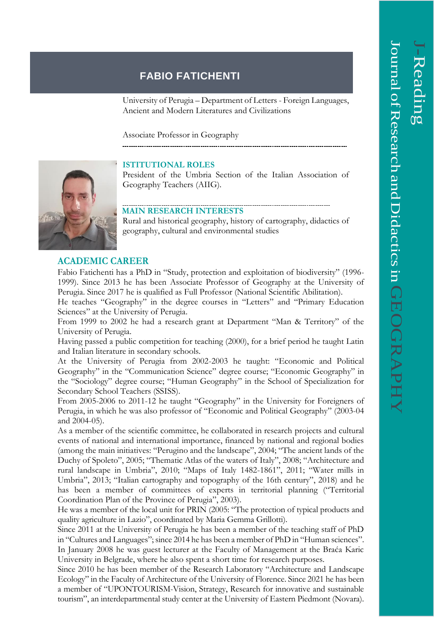# **FABIO FATICHENTI**

University of Perugia – Department of Letters - Foreign Languages, Ancient and Modern Literatures and Civilizations

Associate Professor in Geography

## **ISTITUTIONAL ROLES**

President of the Umbria Section of the Italian Association of Geography Teachers (AIIG).

#### **MAIN RESEARCH INTERESTS**

Rural and historical geography, history of cartography, didactics of geography, cultural and environmental studies

### **ACADEMIC CAREER**

Fabio Fatichenti has a PhD in "Study, protection and exploitation of biodiversity" (1996- 1999). Since 2013 he has been Associate Professor of Geography at the University of Perugia. Since 2017 he is qualified as Full Professor (National Scientific Abilitation).

He teaches "Geography" in the degree courses in "Letters" and "Primary Education Sciences" at the University of Perugia.

From 1999 to 2002 he had a research grant at Department "Man & Territory" of the University of Perugia.

Having passed a public competition for teaching (2000), for a brief period he taught Latin and Italian literature in secondary schools.

At the University of Perugia from 2002-2003 he taught: "Economic and Political Geography" in the "Communication Science" degree course; "Economic Geography" in the "Sociology" degree course; "Human Geography" in the School of Specialization for Secondary School Teachers (SSISS).

From 2005-2006 to 2011-12 he taught "Geography" in the University for Foreigners of Perugia, in which he was also professor of "Economic and Political Geography" (2003-04 and 2004-05).

As a member of the scientific committee, he collaborated in research projects and cultural events of national and international importance, financed by national and regional bodies (among the main initiatives: "Perugino and the landscape", 2004; "The ancient lands of the Duchy of Spoleto", 2005; "Thematic Atlas of the waters of Italy", 2008; "Architecture and rural landscape in Umbria", 2010; "Maps of Italy 1482-1861", 2011; "Water mills in Umbria", 2013; "Italian cartography and topography of the 16th century", 2018) and he has been a member of committees of experts in territorial planning ("Territorial Coordination Plan of the Province of Perugia", 2003).

He was a member of the local unit for PRIN (2005: "The protection of typical products and quality agriculture in Lazio", coordinated by Maria Gemma Grillotti).

Since 2011 at the University of Perugia he has been a member of the teaching staff of PhD in "Cultures and Languages"; since 2014 he has been a member of PhD in "Human sciences". In January 2008 he was guest lecturer at the Faculty of Management at the Braća Karic University in Belgrade, where he also spent a short time for research purposes.

Since 2010 he has been member of the Research Laboratory "Architecture and Landscape Ecology" in the Faculty of Architecture of the University of Florence. Since 2021 he has been a member of "UPONTOURISM-Vision, Strategy, Research for innovative and sustainable tourism", an interdepartmental study center at the University of Eastern Piedmont (Novara).

 $\overline{\phantom{0}}$